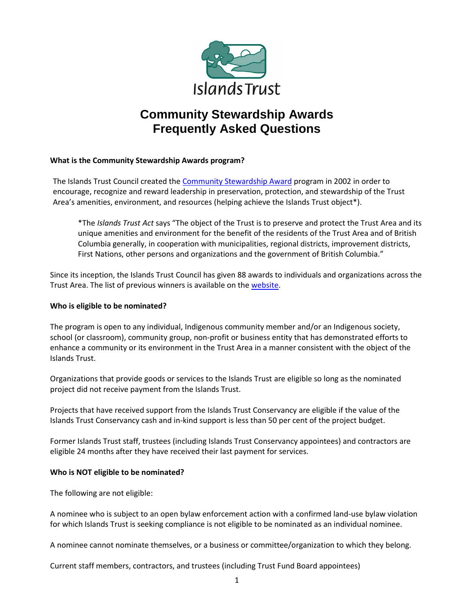

# **Community Stewardship Awards Frequently Asked Questions**

# **What is the Community Stewardship Awards program?**

The Islands Trust Council created th[e Community Stewardship Award](https://islandstrust.bc.ca/programs/stewardship-awards/) program in 2002 in order to encourage, recognize and reward leadership in preservation, protection, and stewardship of the Trust Area's amenities, environment, and resources (helping achieve the Islands Trust object\*).

\*The *Islands Trust Act* says "The object of the Trust is to preserve and protect the Trust Area and its unique amenities and environment for the benefit of the residents of the Trust Area and of British Columbia generally, in cooperation with municipalities, regional districts, improvement districts, First Nations, other persons and organizations and the government of British Columbia."

Since its inception, the Islands Trust Council has given 88 awards to individuals and organizations across the Trust Area. The list of previous winners is available on th[e website.](https://islandstrust.bc.ca/programs/stewardship-awards/)

# **Who is eligible to be nominated?**

The program is open to any individual, Indigenous community member and/or an Indigenous society, school (or classroom), community group, non-profit or business entity that has demonstrated efforts to enhance a community or its environment in the Trust Area in a manner consistent with the object of the Islands Trust.

Organizations that provide goods or services to the Islands Trust are eligible so long as the nominated project did not receive payment from the Islands Trust.

Projects that have received support from the Islands Trust Conservancy are eligible if the value of the Islands Trust Conservancy cash and in-kind support is less than 50 per cent of the project budget.

Former Islands Trust staff, trustees (including Islands Trust Conservancy appointees) and contractors are eligible 24 months after they have received their last payment for services.

# **Who is NOT eligible to be nominated?**

The following are not eligible:

A nominee who is subject to an open bylaw enforcement action with a confirmed land-use bylaw violation for which Islands Trust is seeking compliance is not eligible to be nominated as an individual nominee.

A nominee cannot nominate themselves, or a business or committee/organization to which they belong.

Current staff members, contractors, and trustees (including Trust Fund Board appointees)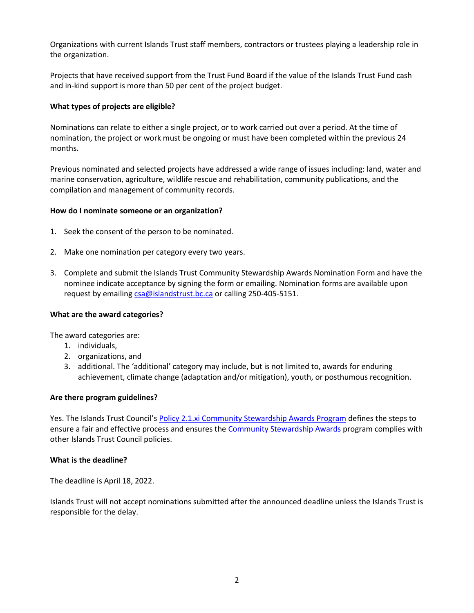Organizations with current Islands Trust staff members, contractors or trustees playing a leadership role in the organization.

Projects that have received support from the Trust Fund Board if the value of the Islands Trust Fund cash and in-kind support is more than 50 per cent of the project budget.

# **What types of projects are eligible?**

Nominations can relate to either a single project, or to work carried out over a period. At the time of nomination, the project or work must be ongoing or must have been completed within the previous 24 months.

Previous nominated and selected projects have addressed a wide range of issues including: land, water and marine conservation, agriculture, wildlife rescue and rehabilitation, community publications, and the compilation and management of community records.

#### **How do I nominate someone or an organization?**

- 1. Seek the consent of the person to be nominated.
- 2. Make one nomination per category every two years.
- 3. Complete and submit the Islands Trust Community Stewardship Awards Nomination Form and have the nominee indicate acceptance by signing the form or emailing. Nomination forms are available upon request by emailin[g csa@islandstrust.bc.ca](mailto:csa@islandstrust.bc.ca) or calling 250-405-5151.

#### **What are the award categories?**

The award categories are:

- 1. individuals,
- 2. organizations, and
- 3. additional. The 'additional' category may include, but is not limited to, awards for enduring achievement, climate change (adaptation and/or mitigation), youth, or posthumous recognition.

#### **Are there program guidelines?**

Yes. The Islands Trust Council's Policy 2.1.xi [Community Stewardship Awards Program](https://islandstrust.bc.ca/document/policy-2-1-11-community-stewardship-awards/) defines the steps to ensure a fair and effective process and ensures th[e Community Stewardship Awards](https://islandstrust.bc.ca/programs/stewardship-awards/) program complies with other Islands Trust Council policies.

#### **What is the deadline?**

The deadline is April 18, 2022.

Islands Trust will not accept nominations submitted after the announced deadline unless the Islands Trust is responsible for the delay.